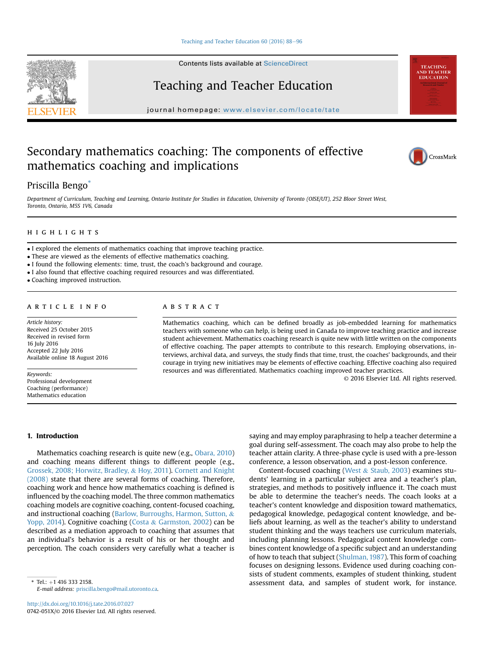[Teaching and Teacher Education 60 \(2016\) 88](http://dx.doi.org/10.1016/j.tate.2016.07.027)-[96](http://dx.doi.org/10.1016/j.tate.2016.07.027)

Contents lists available at ScienceDirect

# Teaching and Teacher Education

journal homepage: <www.elsevier.com/locate/tate>

# Secondary mathematics coaching: The components of effective mathematics coaching and implications

# Priscilla Bengo\*

Department of Curriculum, Teaching and Learning, Ontario Institute for Studies in Education, University of Toronto (OISE/UT), 252 Bloor Street West, Toronto, Ontario, M5S 1V6, Canada

- I explored the elements of mathematics coaching that improve teaching practice.
- These are viewed as the elements of effective mathematics coaching.
- I found the following elements: time, trust, the coach's background and courage.
- I also found that effective coaching required resources and was differentiated.
- Coaching improved instruction.

# ARTICLE INFO

Article history: Received 25 October 2015 Received in revised form 16 July 2016 Accepted 22 July 2016 Available online 18 August 2016

Keywords: Professional development Coaching (performance) Mathematics education

# **ABSTRACT** abstract

Mathematics coaching, which can be defined broadly as job-embedded learning for mathematics teachers with someone who can help, is being used in Canada to improve teaching practice and increase student achievement. Mathematics coaching research is quite new with little written on the components of effective coaching. The paper attempts to contribute to this research. Employing observations, interviews, archival data, and surveys, the study finds that time, trust, the coaches' backgrounds, and their courage in trying new initiatives may be elements of effective coaching. Effective coaching also required resources and was differentiated. Mathematics coaching improved teacher practices.

© 2016 Elsevier Ltd. All rights reserved.

# 1. Introduction

Mathematics coaching research is quite new (e.g., [Obara, 2010\)](#page-8-0) and coaching means different things to different people (e.g., [Grossek, 2008; Horwitz, Bradley,](#page-8-0) & [Hoy, 2011](#page-8-0)). [Cornett and Knight](#page-7-0) [\(2008\)](#page-7-0) state that there are several forms of coaching. Therefore, coaching work and hence how mathematics coaching is defined is influenced by the coaching model. The three common mathematics coaching models are cognitive coaching, content-focused coaching, and instructional coaching ([Barlow, Burroughs, Harmon, Sutton,](#page-7-0) & [Yopp, 2014\)](#page-7-0). Cognitive coaching ([Costa](#page-7-0) & [Garmston, 2002](#page-7-0)) can be described as a mediation approach to coaching that assumes that an individual's behavior is a result of his or her thought and perception. The coach considers very carefully what a teacher is saying and may employ paraphrasing to help a teacher determine a goal during self-assessment. The coach may also probe to help the teacher attain clarity. A three-phase cycle is used with a pre-lesson conference, a lesson observation, and a post-lesson conference.

Content-focused coaching ([West](#page-8-0) & [Staub, 2003\)](#page-8-0) examines students' learning in a particular subject area and a teacher's plan, strategies, and methods to positively influence it. The coach must be able to determine the teacher's needs. The coach looks at a teacher's content knowledge and disposition toward mathematics, pedagogical knowledge, pedagogical content knowledge, and beliefs about learning, as well as the teacher's ability to understand student thinking and the ways teachers use curriculum materials, including planning lessons. Pedagogical content knowledge combines content knowledge of a specific subject and an understanding of how to teach that subject [\(Shulman, 1987\)](#page-8-0). This form of coaching focuses on designing lessons. Evidence used during coaching consists of student comments, examples of student thinking, student assessment data, and samples of student work, for instance. \* Tel.: þ1 416 333 2158.





**TEACHING** AND TEACHER **EDUCATION**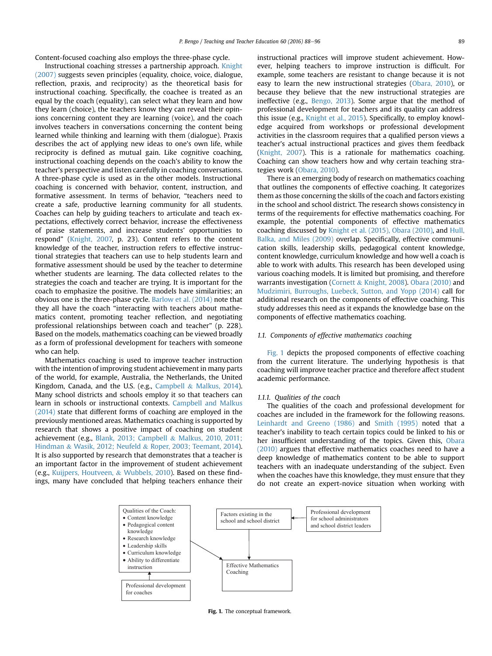<span id="page-1-0"></span>Content-focused coaching also employs the three-phase cycle.

Instructional coaching stresses a partnership approach. [Knight](#page-8-0) [\(2007\)](#page-8-0) suggests seven principles (equality, choice, voice, dialogue, reflection, praxis, and reciprocity) as the theoretical basis for instructional coaching. Specifically, the coachee is treated as an equal by the coach (equality), can select what they learn and how they learn (choice), the teachers know they can reveal their opinions concerning content they are learning (voice), and the coach involves teachers in conversations concerning the content being learned while thinking and learning with them (dialogue). Praxis describes the act of applying new ideas to one's own life, while reciprocity is defined as mutual gain. Like cognitive coaching, instructional coaching depends on the coach's ability to know the teacher's perspective and listen carefully in coaching conversations. A three-phase cycle is used as in the other models. Instructional coaching is concerned with behavior, content, instruction, and formative assessment. In terms of behavior, "teachers need to create a safe, productive learning community for all students. Coaches can help by guiding teachers to articulate and teach expectations, effectively correct behavior, increase the effectiveness of praise statements, and increase students' opportunities to respond" ([Knight, 2007,](#page-8-0) p. 23). Content refers to the content knowledge of the teacher, instruction refers to effective instructional strategies that teachers can use to help students learn and formative assessment should be used by the teacher to determine whether students are learning. The data collected relates to the strategies the coach and teacher are trying. It is important for the coach to emphasize the positive. The models have similarities; an obvious one is the three-phase cycle. [Barlow et al. \(2014\)](#page-7-0) note that they all have the coach "interacting with teachers about mathematics content, promoting teacher reflection, and negotiating professional relationships between coach and teacher" (p. 228). Based on the models, mathematics coaching can be viewed broadly as a form of professional development for teachers with someone who can help.

Mathematics coaching is used to improve teacher instruction with the intention of improving student achievement in many parts of the world, for example, Australia, the Netherlands, the United Kingdom, Canada, and the U.S. (e.g., [Campbell](#page-7-0) & [Malkus, 2014\)](#page-7-0). Many school districts and schools employ it so that teachers can learn in schools or instructional contexts. [Campbell and Malkus](#page-7-0) [\(2014\)](#page-7-0) state that different forms of coaching are employed in the previously mentioned areas. Mathematics coaching is supported by research that shows a positive impact of coaching on student achievement (e.g., [Blank, 2013; Campbell](#page-7-0) & [Malkus, 2010, 2011;](#page-7-0) [Hindman](#page-7-0) & [Wasik, 2012; Neufeld](#page-7-0) & [Roper, 2003; Teemant, 2014\)](#page-7-0). It is also supported by research that demonstrates that a teacher is an important factor in the improvement of student achievement (e.g., [Kuijpers, Houtveen,](#page-8-0) & [Wubbels, 2010](#page-8-0)). Based on these findings, many have concluded that helping teachers enhance their instructional practices will improve student achievement. However, helping teachers to improve instruction is difficult. For example, some teachers are resistant to change because it is not easy to learn the new instructional strategies [\(Obara, 2010\)](#page-8-0), or because they believe that the new instructional strategies are ineffective (e.g., [Bengo, 2013\)](#page-7-0). Some argue that the method of professional development for teachers and its quality can address this issue (e.g., [Knight et al., 2015\)](#page-8-0). Specifically, to employ knowledge acquired from workshops or professional development activities in the classroom requires that a qualified person views a teacher's actual instructional practices and gives them feedback ([Knight, 2007](#page-8-0)). This is a rationale for mathematics coaching. Coaching can show teachers how and why certain teaching strategies work [\(Obara, 2010\)](#page-8-0).

There is an emerging body of research on mathematics coaching that outlines the components of effective coaching. It categorizes them as those concerning the skills of the coach and factors existing in the school and school district. The research shows consistency in terms of the requirements for effective mathematics coaching. For example, the potential components of effective mathematics coaching discussed by [Knight et al. \(2015\), Obara \(2010\),](#page-8-0) and [Hull,](#page-8-0) [Balka, and Miles \(2009\)](#page-8-0) overlap. Specifically, effective communication skills, leadership skills, pedagogical content knowledge, content knowledge, curriculum knowledge and how well a coach is able to work with adults. This research has been developed using various coaching models. It is limited but promising, and therefore warrants investigation ([Cornett](#page-7-0) & [Knight, 2008\)](#page-7-0). [Obara \(2010\)](#page-8-0) and [Mudzimiri, Burroughs, Luebeck, Sutton, and Yopp \(2014\)](#page-8-0) call for additional research on the components of effective coaching. This study addresses this need as it expands the knowledge base on the components of effective mathematics coaching.

## 1.1. Components of effective mathematics coaching

Fig. 1 depicts the proposed components of effective coaching from the current literature. The underlying hypothesis is that coaching will improve teacher practice and therefore affect student academic performance.

# 1.1.1. Qualities of the coach

The qualities of the coach and professional development for coaches are included in the framework for the following reasons. [Leinhardt and Greeno \(1986\)](#page-8-0) and [Smith \(1995\)](#page-8-0) noted that a teacher's inability to teach certain topics could be linked to his or her insufficient understanding of the topics. Given this, [Obara](#page-8-0) [\(2010\)](#page-8-0) argues that effective mathematics coaches need to have a deep knowledge of mathematics content to be able to support teachers with an inadequate understanding of the subject. Even when the coaches have this knowledge, they must ensure that they do not create an expert-novice situation when working with



Fig. 1. The conceptual framework.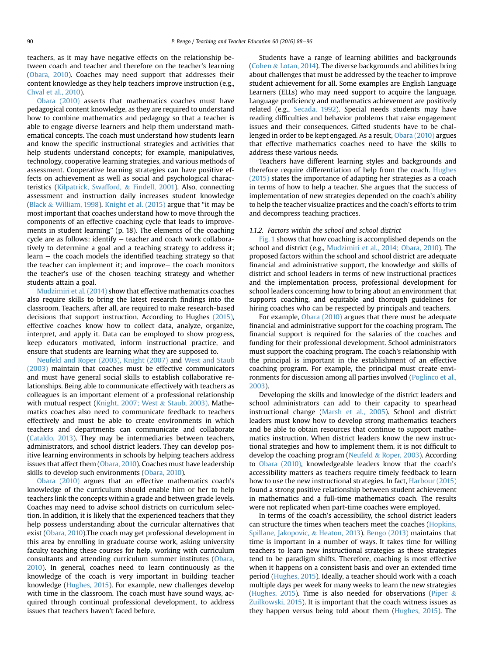teachers, as it may have negative effects on the relationship between coach and teacher and therefore on the teacher's learning ([Obara, 2010\)](#page-8-0). Coaches may need support that addresses their content knowledge as they help teachers improve instruction (e.g., [Chval et al., 2010](#page-7-0)).

[Obara \(2010\)](#page-8-0) asserts that mathematics coaches must have pedagogical content knowledge, as they are required to understand how to combine mathematics and pedagogy so that a teacher is able to engage diverse learners and help them understand mathematical concepts. The coach must understand how students learn and know the specific instructional strategies and activities that help students understand concepts; for example, manipulatives, technology, cooperative learning strategies, and various methods of assessment. Cooperative learning strategies can have positive effects on achievement as well as social and psychological characteristics [\(Kilpatrick, Swafford,](#page-8-0) & [Findell, 2001\)](#page-8-0). Also, connecting assessment and instruction daily increases student knowledge ([Black](#page-7-0) & [William, 1998\)](#page-7-0). [Knight et al. \(2015\)](#page-8-0) argue that "it may be most important that coaches understand how to move through the components of an effective coaching cycle that leads to improvements in student learning" (p. 18). The elements of the coaching cycle are as follows: identify  $-$  teacher and coach work collaboratively to determine a goal and a teaching strategy to address it;  $learn – the coach models the identified teaching strategy so that$ the teacher can implement it; and improve $-$  the coach monitors the teacher's use of the chosen teaching strategy and whether students attain a goal.

[Mudzimiri et al. \(2014\)](#page-8-0) show that effective mathematics coaches also require skills to bring the latest research findings into the classroom. Teachers, after all, are required to make research-based decisions that support instruction. According to Hughes [\(2015\),](#page-8-0) effective coaches know how to collect data, analyze, organize, interpret, and apply it. Data can be employed to show progress, keep educators motivated, inform instructional practice, and ensure that students are learning what they are supposed to.

[Neufeld and Roper \(2003\), Knight \(2007\)](#page-8-0) and [West and Staub](#page-8-0) [\(2003\)](#page-8-0) maintain that coaches must be effective communicators and must have general social skills to establish collaborative relationships. Being able to communicate effectively with teachers as colleagues is an important element of a professional relationship with mutual respect ([Knight, 2007; West](#page-8-0) & [Staub, 2003\)](#page-8-0). Mathematics coaches also need to communicate feedback to teachers effectively and must be able to create environments in which teachers and departments can communicate and collaborate ([Cataldo, 2013\)](#page-7-0). They may be intermediaries between teachers, administrators, and school district leaders. They can develop positive learning environments in schools by helping teachers address issues that affect them [\(Obara, 2010](#page-8-0)). Coaches must have leadership skills to develop such environments ([Obara, 2010\)](#page-8-0).

[Obara \(2010\)](#page-8-0) argues that an effective mathematics coach's knowledge of the curriculum should enable him or her to help teachers link the concepts within a grade and between grade levels. Coaches may need to advise school districts on curriculum selection. In addition, it is likely that the experienced teachers that they help possess understanding about the curricular alternatives that exist ([Obara, 2010](#page-8-0)).The coach may get professional development in this area by enrolling in graduate course work, asking university faculty teaching these courses for help, working with curriculum consultants and attending curriculum summer institutes ([Obara,](#page-8-0) [2010](#page-8-0)). In general, coaches need to learn continuously as the knowledge of the coach is very important in building teacher knowledge [\(Hughes, 2015\)](#page-8-0). For example, new challenges develop with time in the classroom. The coach must have sound ways, acquired through continual professional development, to address issues that teachers haven't faced before.

Students have a range of learning abilities and backgrounds ([Cohen](#page-7-0) & [Lotan, 2014](#page-7-0)). The diverse backgrounds and abilities bring about challenges that must be addressed by the teacher to improve student achievement for all. Some examples are English Language Learners (ELLs) who may need support to acquire the language. Language proficiency and mathematics achievement are positively related (e.g., [Secada, 1992\)](#page-8-0). Special needs students may have reading difficulties and behavior problems that raise engagement issues and their consequences. Gifted students have to be challenged in order to be kept engaged. As a result, [Obara \(2010\)](#page-8-0) argues that effective mathematics coaches need to have the skills to address these various needs.

Teachers have different learning styles and backgrounds and therefore require differentiation of help from the coach. [Hughes](#page-8-0) [\(2015\)](#page-8-0) states the importance of adapting her strategies as a coach in terms of how to help a teacher. She argues that the success of implementation of new strategies depended on the coach's ability to help the teacher visualize practices and the coach's efforts to trim and decompress teaching practices.

### 1.1.2. Factors within the school and school district

[Fig. 1](#page-1-0) shows that how coaching is accomplished depends on the school and district (e.g., [Mudzimiri et al., 2014; Obara, 2010](#page-8-0)). The proposed factors within the school and school district are adequate financial and administrative support, the knowledge and skills of district and school leaders in terms of new instructional practices and the implementation process, professional development for school leaders concerning how to bring about an environment that supports coaching, and equitable and thorough guidelines for hiring coaches who can be respected by principals and teachers.

For example, [Obara \(2010\)](#page-8-0) argues that there must be adequate financial and administrative support for the coaching program. The financial support is required for the salaries of the coaches and funding for their professional development. School administrators must support the coaching program. The coach's relationship with the principal is important in the establishment of an effective coaching program. For example, the principal must create environments for discussion among all parties involved ([Poglinco et al.,](#page-8-0) [2003](#page-8-0)).

Developing the skills and knowledge of the district leaders and school administrators can add to their capacity to spearhead instructional change [\(Marsh et al., 2005\)](#page-8-0). School and district leaders must know how to develop strong mathematics teachers and be able to obtain resources that continue to support mathematics instruction. When district leaders know the new instructional strategies and how to implement them, it is not difficult to develop the coaching program [\(Neufeld](#page-8-0) & [Roper, 2003\)](#page-8-0). According to [Obara \(2010\),](#page-8-0) knowledgeable leaders know that the coach's accessibility matters as teachers require timely feedback to learn how to use the new instructional strategies. In fact, [Harbour \(2015\)](#page-8-0) found a strong positive relationship between student achievement in mathematics and a full-time mathematics coach. The results were not replicated when part-time coaches were employed.

In terms of the coach's accessibility, the school district leaders can structure the times when teachers meet the coaches ([Hopkins,](#page-8-0) [Spillane, Jakopovic,](#page-8-0) & [Heaton, 2013\)](#page-8-0). [Bengo \(2013\)](#page-7-0) maintains that time is important in a number of ways. It takes time for willing teachers to learn new instructional strategies as these strategies tend to be paradigm shifts. Therefore, coaching is most effective when it happens on a consistent basis and over an extended time period ([Hughes, 2015](#page-8-0)). Ideally, a teacher should work with a coach multiple days per week for many weeks to learn the new strategies ([Hughes, 2015\)](#page-8-0). Time is also needed for observations [\(Piper](#page-8-0)  $\&$ [Zuilkowski, 2015\)](#page-8-0). It is important that the coach witness issues as they happen versus being told about them ([Hughes, 2015](#page-8-0)). The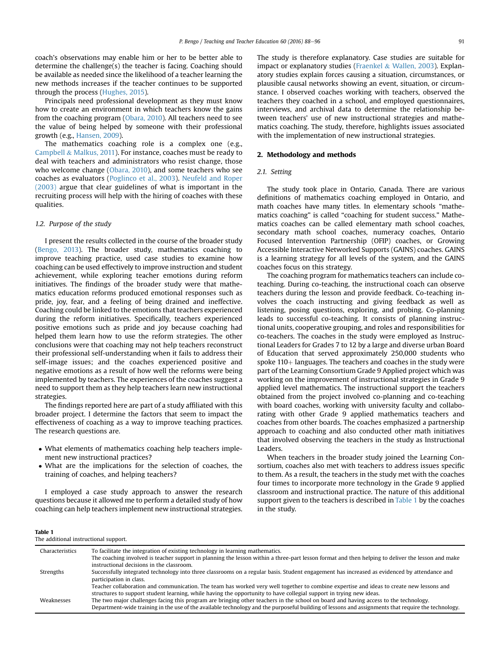coach's observations may enable him or her to be better able to determine the challenge(s) the teacher is facing. Coaching should be available as needed since the likelihood of a teacher learning the new methods increases if the teacher continues to be supported through the process ([Hughes, 2015](#page-8-0)).

Principals need professional development as they must know how to create an environment in which teachers know the gains from the coaching program ([Obara, 2010](#page-8-0)). All teachers need to see the value of being helped by someone with their professional growth (e.g., [Hansen, 2009](#page-8-0)).

The mathematics coaching role is a complex one (e.g., [Campbell](#page-7-0) & [Malkus, 2011](#page-7-0)). For instance, coaches must be ready to deal with teachers and administrators who resist change, those who welcome change ([Obara, 2010\)](#page-8-0), and some teachers who see coaches as evaluators ([Poglinco et al., 2003](#page-8-0)). [Neufeld and Roper](#page-8-0) [\(2003\)](#page-8-0) argue that clear guidelines of what is important in the recruiting process will help with the hiring of coaches with these qualities.

# 1.2. Purpose of the study

Table 1

I present the results collected in the course of the broader study ([Bengo, 2013](#page-7-0)). The broader study, mathematics coaching to improve teaching practice, used case studies to examine how coaching can be used effectively to improve instruction and student achievement, while exploring teacher emotions during reform initiatives. The findings of the broader study were that mathematics education reforms produced emotional responses such as pride, joy, fear, and a feeling of being drained and ineffective. Coaching could be linked to the emotions that teachers experienced during the reform initiatives. Specifically, teachers experienced positive emotions such as pride and joy because coaching had helped them learn how to use the reform strategies. The other conclusions were that coaching may not help teachers reconstruct their professional self-understanding when it fails to address their self-image issues; and the coaches experienced positive and negative emotions as a result of how well the reforms were being implemented by teachers. The experiences of the coaches suggest a need to support them as they help teachers learn new instructional strategies.

The findings reported here are part of a study affiliated with this broader project. I determine the factors that seem to impact the effectiveness of coaching as a way to improve teaching practices. The research questions are.

- What elements of mathematics coaching help teachers implement new instructional practices?
- What are the implications for the selection of coaches, the training of coaches, and helping teachers?

I employed a case study approach to answer the research questions because it allowed me to perform a detailed study of how coaching can help teachers implement new instructional strategies. The study is therefore explanatory. Case studies are suitable for impact or explanatory studies [\(Fraenkel](#page-7-0) & [Wallen, 2003\)](#page-7-0). Explanatory studies explain forces causing a situation, circumstances, or plausible causal networks showing an event, situation, or circumstance. I observed coaches working with teachers, observed the teachers they coached in a school, and employed questionnaires, interviews, and archival data to determine the relationship between teachers' use of new instructional strategies and mathematics coaching. The study, therefore, highlights issues associated with the implementation of new instructional strategies.

# 2. Methodology and methods

# 2.1. Setting

The study took place in Ontario, Canada. There are various definitions of mathematics coaching employed in Ontario, and math coaches have many titles. In elementary schools "mathematics coaching" is called "coaching for student success." Mathematics coaches can be called elementary math school coaches, secondary math school coaches, numeracy coaches, Ontario Focused Intervention Partnership (OFIP) coaches, or Growing Accessible Interactive Networked Supports (GAINS) coaches. GAINS is a learning strategy for all levels of the system, and the GAINS coaches focus on this strategy.

The coaching program for mathematics teachers can include coteaching. During co-teaching, the instructional coach can observe teachers during the lesson and provide feedback. Co-teaching involves the coach instructing and giving feedback as well as listening, posing questions, exploring, and probing. Co-planning leads to successful co-teaching. It consists of planning instructional units, cooperative grouping, and roles and responsibilities for co-teachers. The coaches in the study were employed as Instructional Leaders for Grades 7 to 12 by a large and diverse urban Board of Education that served approximately 250,000 students who spoke  $110+$  languages. The teachers and coaches in the study were part of the Learning Consortium Grade 9 Applied project which was working on the improvement of instructional strategies in Grade 9 applied level mathematics. The instructional support the teachers obtained from the project involved co-planning and co-teaching with board coaches, working with university faculty and collaborating with other Grade 9 applied mathematics teachers and coaches from other boards. The coaches emphasized a partnership approach to coaching and also conducted other math initiatives that involved observing the teachers in the study as Instructional Leaders.

When teachers in the broader study joined the Learning Consortium, coaches also met with teachers to address issues specific to them. As a result, the teachers in the study met with the coaches four times to incorporate more technology in the Grade 9 applied classroom and instructional practice. The nature of this additional support given to the teachers is described in Table 1 by the coaches in the study.

| The additional instructional support. |                                                                                                                                                                                                                                                                                             |
|---------------------------------------|---------------------------------------------------------------------------------------------------------------------------------------------------------------------------------------------------------------------------------------------------------------------------------------------|
| Characteristics                       | To facilitate the integration of existing technology in learning mathematics.                                                                                                                                                                                                               |
|                                       | The coaching involved is teacher support in planning the lesson within a three-part lesson format and then helping to deliver the lesson and make<br>instructional decisions in the classroom.                                                                                              |
| Strengths                             | Successfully integrated technology into three classrooms on a regular basis. Student engagement has increased as evidenced by attendance and<br>participation in class.                                                                                                                     |
|                                       | Teacher collaboration and communication. The team has worked very well together to combine expertise and ideas to create new lessons and                                                                                                                                                    |
|                                       | structures to support student learning, while having the opportunity to have collegial support in trying new ideas.                                                                                                                                                                         |
| Weaknesses                            | The two major challenges facing this program are bringing other teachers in the school on board and having access to the technology.<br>Department-wide training in the use of the available technology and the purposeful building of lessons and assignments that require the technology. |
|                                       |                                                                                                                                                                                                                                                                                             |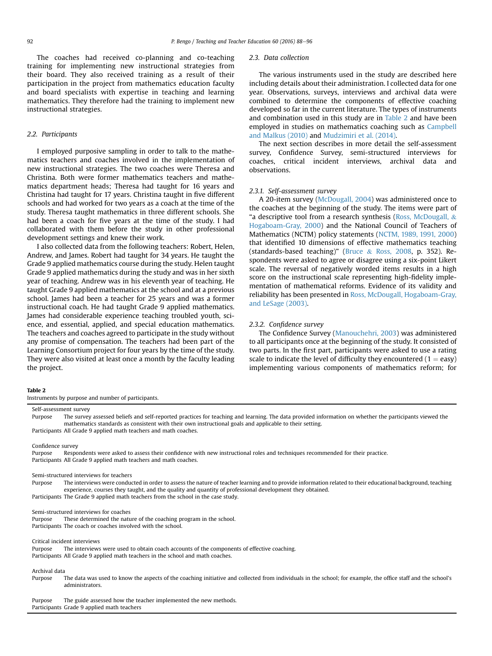The coaches had received co-planning and co-teaching training for implementing new instructional strategies from their board. They also received training as a result of their participation in the project from mathematics education faculty and board specialists with expertise in teaching and learning mathematics. They therefore had the training to implement new instructional strategies.

# 2.2. Participants

I employed purposive sampling in order to talk to the mathematics teachers and coaches involved in the implementation of new instructional strategies. The two coaches were Theresa and Christina. Both were former mathematics teachers and mathematics department heads; Theresa had taught for 16 years and Christina had taught for 17 years. Christina taught in five different schools and had worked for two years as a coach at the time of the study. Theresa taught mathematics in three different schools. She had been a coach for five years at the time of the study. I had collaborated with them before the study in other professional development settings and knew their work.

I also collected data from the following teachers: Robert, Helen, Andrew, and James. Robert had taught for 34 years. He taught the Grade 9 applied mathematics course during the study. Helen taught Grade 9 applied mathematics during the study and was in her sixth year of teaching. Andrew was in his eleventh year of teaching. He taught Grade 9 applied mathematics at the school and at a previous school. James had been a teacher for 25 years and was a former instructional coach. He had taught Grade 9 applied mathematics. James had considerable experience teaching troubled youth, science, and essential, applied, and special education mathematics. The teachers and coaches agreed to participate in the study without any promise of compensation. The teachers had been part of the Learning Consortium project for four years by the time of the study. They were also visited at least once a month by the faculty leading the project.

# 2.3. Data collection

The various instruments used in the study are described here including details about their administration. I collected data for one year. Observations, surveys, interviews and archival data were combined to determine the components of effective coaching developed so far in the current literature. The types of instruments and combination used in this study are in Table 2 and have been employed in studies on mathematics coaching such as [Campbell](#page-7-0) [and Malkus \(2010\)](#page-7-0) and [Mudzimiri et al. \(2014\).](#page-8-0)

The next section describes in more detail the self-assessment survey, Confidence Survey, semi-structured interviews for coaches, critical incident interviews, archival data and observations.

# 2.3.1. Self-assessment survey

A 20-item survey [\(McDougall, 2004](#page-8-0)) was administered once to the coaches at the beginning of the study. The items were part of "a descriptive tool from a research synthesis [\(Ross, McDougall,](#page-8-0)  $\&$ [Hogaboam-Gray, 2000](#page-8-0)) and the National Council of Teachers of Mathematics (NCTM) policy statements [\(NCTM, 1989, 1991, 2000\)](#page-8-0) that identified 10 dimensions of effective mathematics teaching (standards-based teaching)" [\(Bruce](#page-7-0) & [Ross, 2008](#page-7-0), p. 352). Respondents were asked to agree or disagree using a six-point Likert scale. The reversal of negatively worded items results in a high score on the instructional scale representing high-fidelity implementation of mathematical reforms. Evidence of its validity and reliability has been presented in [Ross, McDougall, Hogaboam-Gray,](#page-8-0) [and LeSage \(2003\).](#page-8-0)

# 2.3.2. Confidence survey

The Confidence Survey [\(Manouchehri, 2003](#page-8-0)) was administered to all participants once at the beginning of the study. It consisted of two parts. In the first part, participants were asked to use a rating scale to indicate the level of difficulty they encountered  $(1 = easy)$ implementing various components of mathematics reform; for

## Table 2

Instruments by purpose and number of participants.

| Self-assessment survey                                                                                                                                                                                                                                                              |  |
|-------------------------------------------------------------------------------------------------------------------------------------------------------------------------------------------------------------------------------------------------------------------------------------|--|
| The survey assessed beliefs and self-reported practices for teaching and learning. The data provided information on whether the participants viewed the<br>Purpose<br>mathematics standards as consistent with their own instructional goals and applicable to their setting.       |  |
| Participants All Grade 9 applied math teachers and math coaches.                                                                                                                                                                                                                    |  |
| Confidence survey                                                                                                                                                                                                                                                                   |  |
| Respondents were asked to assess their confidence with new instructional roles and techniques recommended for their practice.<br>Purpose<br>Participants All Grade 9 applied math teachers and math coaches.                                                                        |  |
| Semi-structured interviews for teachers                                                                                                                                                                                                                                             |  |
| The interviews were conducted in order to assess the nature of teacher learning and to provide information related to their educational background, teaching<br>Purpose<br>experience, courses they taught, and the quality and quantity of professional development they obtained. |  |
| Participants The Grade 9 applied math teachers from the school in the case study.                                                                                                                                                                                                   |  |
| Semi-structured interviews for coaches                                                                                                                                                                                                                                              |  |
| These determined the nature of the coaching program in the school.<br>Purpose<br>Participants The coach or coaches involved with the school.                                                                                                                                        |  |
| Critical incident interviews                                                                                                                                                                                                                                                        |  |
| The interviews were used to obtain coach accounts of the components of effective coaching.<br>Purpose<br>Participants All Grade 9 applied math teachers in the school and math coaches.                                                                                             |  |
| Archival data                                                                                                                                                                                                                                                                       |  |
| The data was used to know the aspects of the coaching initiative and collected from individuals in the school; for example, the office staff and the school's<br>Purpose<br>administrators.                                                                                         |  |
| The guide assessed how the teacher implemented the new methods.<br>Purpose<br>Participants Grade 9 applied math teachers                                                                                                                                                            |  |
|                                                                                                                                                                                                                                                                                     |  |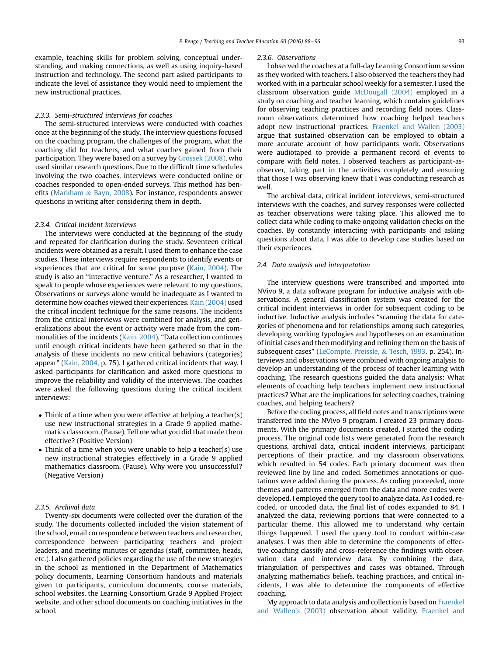example, teaching skills for problem solving, conceptual understanding, and making connections, as well as using inquiry-based instruction and technology. The second part asked participants to indicate the level of assistance they would need to implement the new instructional practices.

# 2.3.3. Semi-structured interviews for coaches

The semi-structured interviews were conducted with coaches once at the beginning of the study. The interview questions focused on the coaching program, the challenges of the program, what the coaching did for teachers, and what coaches gained from their participation. They were based on a survey by [Grossek \(2008\),](#page-8-0) who used similar research questions. Due to the difficult time schedules involving the two coaches, interviews were conducted online or coaches responded to open-ended surveys. This method has benefits ([Markham](#page-8-0) & [Bayn, 2008\)](#page-8-0). For instance, respondents answer questions in writing after considering them in depth.

# 2.3.4. Critical incident interviews

The interviews were conducted at the beginning of the study and repeated for clarification during the study. Seventeen critical incidents were obtained as a result. I used them to enhance the case studies. These interviews require respondents to identify events or experiences that are critical for some purpose [\(Kain, 2004](#page-8-0)). The study is also an "interactive venture." As a researcher, I wanted to speak to people whose experiences were relevant to my questions. Observations or surveys alone would be inadequate as I wanted to determine how coaches viewed their experiences. [Kain \(2004\)](#page-8-0) used the critical incident technique for the same reasons. The incidents from the critical interviews were combined for analysis, and generalizations about the event or activity were made from the commonalities of the incidents ([Kain, 2004](#page-8-0)). "Data collection continues until enough critical incidents have been gathered so that in the analysis of these incidents no new critical behaviors (categories) appear" [\(Kain, 2004,](#page-8-0) p. 75). I gathered critical incidents that way. I asked participants for clarification and asked more questions to improve the reliability and validity of the interviews. The coaches were asked the following questions during the critical incident interviews:

- Think of a time when you were effective at helping a teacher(s) use new instructional strategies in a Grade 9 applied mathematics classroom. (Pause). Tell me what you did that made them effective? (Positive Version)
- Think of a time when you were unable to help a teacher(s) use new instructional strategies effectively in a Grade 9 applied mathematics classroom. (Pause). Why were you unsuccessful? (Negative Version)

# 2.3.5. Archival data

Twenty-six documents were collected over the duration of the study. The documents collected included the vision statement of the school, email correspondence between teachers and researcher, correspondence between participating teachers and project leaders, and meeting minutes or agendas (staff, committee, heads, etc.). I also gathered policies regarding the use of the new strategies in the school as mentioned in the Department of Mathematics policy documents, Learning Consortium handouts and materials given to participants, curriculum documents, course materials, school websites, the Learning Consortium Grade 9 Applied Project website, and other school documents on coaching initiatives in the school.

### 2.3.6. Observations

I observed the coaches at a full-day Learning Consortium session as they worked with teachers. I also observed the teachers they had worked with in a particular school weekly for a semester. I used the classroom observation guide [McDougall \(2004\)](#page-8-0) employed in a study on coaching and teacher learning, which contains guidelines for observing teaching practices and recording field notes. Classroom observations determined how coaching helped teachers adopt new instructional practices. [Fraenkel and Wallen \(2003\)](#page-7-0) argue that sustained observation can be employed to obtain a more accurate account of how participants work. Observations were audiotaped to provide a permanent record of events to compare with field notes. I observed teachers as participant-asobserver, taking part in the activities completely and ensuring that those I was observing knew that I was conducting research as well.

The archival data, critical incident interviews, semi-structured interviews with the coaches, and survey responses were collected as teacher observations were taking place. This allowed me to collect data while coding to make ongoing validation checks on the coaches. By constantly interacting with participants and asking questions about data, I was able to develop case studies based on their experiences.

# 2.4. Data analysis and interpretation

The interview questions were transcribed and imported into NVivo 9, a data software program for inductive analysis with observations. A general classification system was created for the critical incident interviews in order for subsequent coding to be inductive. Inductive analysis includes "scanning the data for categories of phenomena and for relationships among such categories, developing working typologies and hypotheses on an examination of initial cases and then modifying and refining them on the basis of subsequent cases" ([LeCompte, Preissle,](#page-8-0) & [Tesch, 1993](#page-8-0), p. 254). Interviews and observations were combined with ongoing analysis to develop an understanding of the process of teacher learning with coaching. The research questions guided the data analysis: What elements of coaching help teachers implement new instructional practices? What are the implications for selecting coaches, training coaches, and helping teachers?

Before the coding process, all field notes and transcriptions were transferred into the NVivo 9 program. I created 23 primary documents. With the primary documents created, I started the coding process. The original code lists were generated from the research questions, archival data, critical incident interviews, participant perceptions of their practice, and my classroom observations, which resulted in 54 codes. Each primary document was then reviewed line by line and coded. Sometimes annotations or quotations were added during the process. As coding proceeded, more themes and patterns emerged from the data and more codes were developed. I employed the query tool to analyze data. As I coded, recoded, or uncoded data, the final list of codes expanded to 84. I analyzed the data, reviewing portions that were connected to a particular theme. This allowed me to understand why certain things happened. I used the query tool to conduct within-case analyses. I was then able to determine the components of effective coaching classify and cross-reference the findings with observation data and interview data. By combining the data, triangulation of perspectives and cases was obtained. Through analyzing mathematics beliefs, teaching practices, and critical incidents, I was able to determine the components of effective coaching.

My approach to data analysis and collection is based on [Fraenkel](#page-7-0) [and Wallen's \(2003\)](#page-7-0) observation about validity. [Fraenkel and](#page-7-0)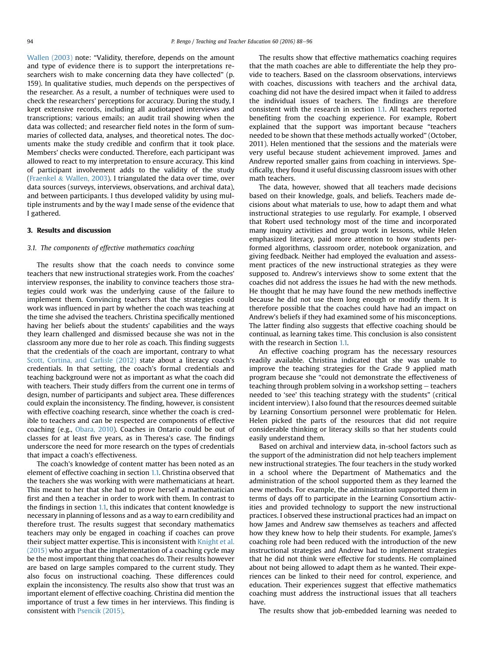[Wallen \(2003\)](#page-7-0) note: "Validity, therefore, depends on the amount and type of evidence there is to support the interpretations researchers wish to make concerning data they have collected" (p. 159). In qualitative studies, much depends on the perspectives of the researcher. As a result, a number of techniques were used to check the researchers' perceptions for accuracy. During the study, I kept extensive records, including all audiotaped interviews and transcriptions; various emails; an audit trail showing when the data was collected; and researcher field notes in the form of summaries of collected data, analyses, and theoretical notes. The documents make the study credible and confirm that it took place. Members' checks were conducted. Therefore, each participant was allowed to react to my interpretation to ensure accuracy. This kind of participant involvement adds to the validity of the study ([Fraenkel](#page-7-0) & [Wallen, 2003](#page-7-0)). I triangulated the data over time, over data sources (surveys, interviews, observations, and archival data), and between participants. I thus developed validity by using multiple instruments and by the way I made sense of the evidence that I gathered.

# 3. Results and discussion

# 3.1. The components of effective mathematics coaching

The results show that the coach needs to convince some teachers that new instructional strategies work. From the coaches' interview responses, the inability to convince teachers those strategies could work was the underlying cause of the failure to implement them. Convincing teachers that the strategies could work was influenced in part by whether the coach was teaching at the time she advised the teachers. Christina specifically mentioned having her beliefs about the students' capabilities and the ways they learn challenged and dismissed because she was not in the classroom any more due to her role as coach. This finding suggests that the credentials of the coach are important, contrary to what [Scott, Cortina, and Carlisle \(2012\)](#page-8-0) state about a literacy coach's credentials. In that setting, the coach's formal credentials and teaching background were not as important as what the coach did with teachers. Their study differs from the current one in terms of design, number of participants and subject area. These differences could explain the inconsistency. The finding, however, is consistent with effective coaching research, since whether the coach is credible to teachers and can be respected are components of effective coaching (e.g., [Obara, 2010](#page-8-0)). Coaches in Ontario could be out of classes for at least five years, as in Theresa's case. The findings underscore the need for more research on the types of credentials that impact a coach's effectiveness.

The coach's knowledge of content matter has been noted as an element of effective coaching in section [1.1.](#page-1-0) Christina observed that the teachers she was working with were mathematicians at heart. This meant to her that she had to prove herself a mathematician first and then a teacher in order to work with them. In contrast to the findings in section [1.1,](#page-1-0) this indicates that content knowledge is necessary in planning of lessons and as a way to earn credibility and therefore trust. The results suggest that secondary mathematics teachers may only be engaged in coaching if coaches can prove their subject matter expertise. This is inconsistent with [Knight et al.](#page-8-0) [\(2015\)](#page-8-0) who argue that the implementation of a coaching cycle may be the most important thing that coaches do. Their results however are based on large samples compared to the current study. They also focus on instructional coaching. These differences could explain the inconsistency. The results also show that trust was an important element of effective coaching. Christina did mention the importance of trust a few times in her interviews. This finding is consistent with [Psencik \(2015\).](#page-8-0)

The results show that effective mathematics coaching requires that the math coaches are able to differentiate the help they provide to teachers. Based on the classroom observations, interviews with coaches, discussions with teachers and the archival data, coaching did not have the desired impact when it failed to address the individual issues of teachers. The findings are therefore consistent with the research in section [1.1.](#page-1-0) All teachers reported benefiting from the coaching experience. For example, Robert explained that the support was important because "teachers needed to be shown that these methods actually worked" (October, 2011). Helen mentioned that the sessions and the materials were very useful because student achievement improved. James and Andrew reported smaller gains from coaching in interviews. Specifically, they found it useful discussing classroom issues with other math teachers.

The data, however, showed that all teachers made decisions based on their knowledge, goals, and beliefs. Teachers made decisions about what materials to use, how to adapt them and what instructional strategies to use regularly. For example, I observed that Robert used technology most of the time and incorporated many inquiry activities and group work in lessons, while Helen emphasized literacy, paid more attention to how students performed algorithms, classroom order, notebook organization, and giving feedback. Neither had employed the evaluation and assessment practices of the new instructional strategies as they were supposed to. Andrew's interviews show to some extent that the coaches did not address the issues he had with the new methods. He thought that he may have found the new methods ineffective because he did not use them long enough or modify them. It is therefore possible that the coaches could have had an impact on Andrew's beliefs if they had examined some of his misconceptions. The latter finding also suggests that effective coaching should be continual, as learning takes time. This conclusion is also consistent with the research in Section [1.1.](#page-1-0)

An effective coaching program has the necessary resources readily available. Christina indicated that she was unable to improve the teaching strategies for the Grade 9 applied math program because she "could not demonstrate the effectiveness of teaching through problem solving in a workshop setting  $-$  teachers needed to 'see' this teaching strategy with the students" (critical incident interview). I also found that the resources deemed suitable by Learning Consortium personnel were problematic for Helen. Helen picked the parts of the resources that did not require considerable thinking or literacy skills so that her students could easily understand them.

Based on archival and interview data, in-school factors such as the support of the administration did not help teachers implement new instructional strategies. The four teachers in the study worked in a school where the Department of Mathematics and the administration of the school supported them as they learned the new methods. For example, the administration supported them in terms of days off to participate in the Learning Consortium activities and provided technology to support the new instructional practices. I observed these instructional practices had an impact on how James and Andrew saw themselves as teachers and affected how they knew how to help their students. For example, James's coaching role had been reduced with the introduction of the new instructional strategies and Andrew had to implement strategies that he did not think were effective for students. He complained about not being allowed to adapt them as he wanted. Their experiences can be linked to their need for control, experience, and education. Their experiences suggest that effective mathematics coaching must address the instructional issues that all teachers have.

The results show that job-embedded learning was needed to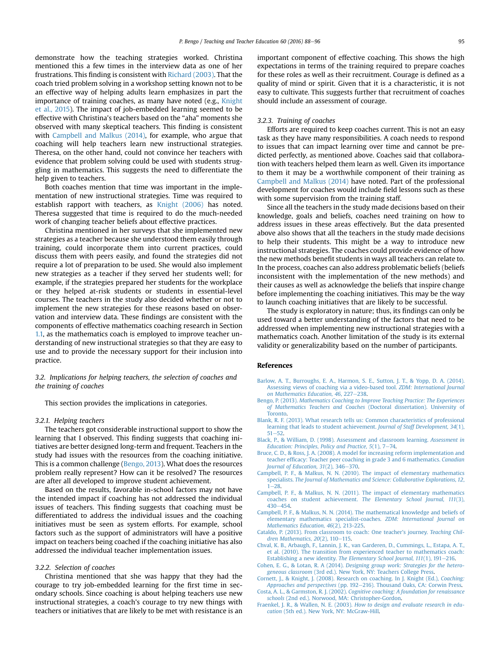<span id="page-7-0"></span>demonstrate how the teaching strategies worked. Christina mentioned this a few times in the interview data as one of her frustrations. This finding is consistent with [Richard \(2003\)](#page-8-0). That the coach tried problem solving in a workshop setting known not to be an effective way of helping adults learn emphasizes in part the importance of training coaches, as many have noted (e.g., [Knight](#page-8-0) [et al., 2015\)](#page-8-0). The impact of job-embedded learning seemed to be effective with Christina's teachers based on the "aha" moments she observed with many skeptical teachers. This finding is consistent with Campbell and Malkus (2014), for example, who argue that coaching will help teachers learn new instructional strategies. Theresa, on the other hand, could not convince her teachers with evidence that problem solving could be used with students struggling in mathematics. This suggests the need to differentiate the help given to teachers.

Both coaches mention that time was important in the implementation of new instructional strategies. Time was required to establish rapport with teachers, as [Knight \(2006\)](#page-8-0) has noted. Theresa suggested that time is required to do the much-needed work of changing teacher beliefs about effective practices.

Christina mentioned in her surveys that she implemented new strategies as a teacher because she understood them easily through training, could incorporate them into current practices, could discuss them with peers easily, and found the strategies did not require a lot of preparation to be used. She would also implement new strategies as a teacher if they served her students well; for example, if the strategies prepared her students for the workplace or they helped at-risk students or students in essential-level courses. The teachers in the study also decided whether or not to implement the new strategies for these reasons based on observation and interview data. These findings are consistent with the components of effective mathematics coaching research in Section [1.1,](#page-1-0) as the mathematics coach is employed to improve teacher understanding of new instructional strategies so that they are easy to use and to provide the necessary support for their inclusion into practice.

3.2. Implications for helping teachers, the selection of coaches and the training of coaches

This section provides the implications in categories.

#### 3.2.1. Helping teachers

The teachers got considerable instructional support to show the learning that I observed. This finding suggests that coaching initiatives are better designed long-term and frequent. Teachers in the study had issues with the resources from the coaching initiative. This is a common challenge (Bengo, 2013). What does the resources problem really represent? How can it be resolved? The resources are after all developed to improve student achievement.

Based on the results, favorable in-school factors may not have the intended impact if coaching has not addressed the individual issues of teachers. This finding suggests that coaching must be differentiated to address the individual issues and the coaching initiatives must be seen as system efforts. For example, school factors such as the support of administrators will have a positive impact on teachers being coached if the coaching initiative has also addressed the individual teacher implementation issues.

### 3.2.2. Selection of coaches

Christina mentioned that she was happy that they had the courage to try job-embedded learning for the first time in secondary schools. Since coaching is about helping teachers use new instructional strategies, a coach's courage to try new things with teachers or initiatives that are likely to be met with resistance is an important component of effective coaching. This shows the high expectations in terms of the training required to prepare coaches for these roles as well as their recruitment. Courage is defined as a quality of mind or spirit. Given that it is a characteristic, it is not easy to cultivate. This suggests further that recruitment of coaches should include an assessment of courage.

# 3.2.3. Training of coaches

Efforts are required to keep coaches current. This is not an easy task as they have many responsibilities. A coach needs to respond to issues that can impact learning over time and cannot be predicted perfectly, as mentioned above. Coaches said that collaboration with teachers helped them learn as well. Given its importance to them it may be a worthwhile component of their training as Campbell and Malkus (2014) have noted. Part of the professional development for coaches would include field lessons such as these with some supervision from the training staff.

Since all the teachers in the study made decisions based on their knowledge, goals and beliefs, coaches need training on how to address issues in these areas effectively. But the data presented above also shows that all the teachers in the study made decisions to help their students. This might be a way to introduce new instructional strategies. The coaches could provide evidence of how the new methods benefit students in ways all teachers can relate to. In the process, coaches can also address problematic beliefs (beliefs inconsistent with the implementation of the new methods) and their causes as well as acknowledge the beliefs that inspire change before implementing the coaching initiatives. This may be the way to launch coaching initiatives that are likely to be successful.

The study is exploratory in nature; thus, its findings can only be used toward a better understanding of the factors that need to be addressed when implementing new instructional strategies with a mathematics coach. Another limitation of the study is its external validity or generalizability based on the number of participants.

# References

- [Barlow, A. T., Burroughs, E. A., Harmon, S. E., Sutton, J. T., & Yopp, D. A. \(2014\).](http://refhub.elsevier.com/S0742-051X(16)30157-3/sref2) [Assessing views of coaching via a video-based tool.](http://refhub.elsevier.com/S0742-051X(16)30157-3/sref2) ZDM: International Journal on Mathematics Education,  $46, 227-238$ .
- Bengo, P. (2013). [Mathematics Coaching to Improve Teaching Practice: The Experiences](http://refhub.elsevier.com/S0742-051X(16)30157-3/sref56) [of Mathematics Teachers and Coaches](http://refhub.elsevier.com/S0742-051X(16)30157-3/sref56) (Doctoral dissertation). University of [Toronto.](http://refhub.elsevier.com/S0742-051X(16)30157-3/sref56)
- [Blank, R. F. \(2013\). What research tells us: Common characteristics of professional](http://refhub.elsevier.com/S0742-051X(16)30157-3/sref4) [learning that leads to student achievement.](http://refhub.elsevier.com/S0742-051X(16)30157-3/sref4) Journal of Staff Development, 34(1),  $51 - 52$  $51 - 52$ .
- [Black, P., & William, D. \(1998\). Assessment and classroom learning.](http://refhub.elsevier.com/S0742-051X(16)30157-3/sref3) Assessment in Education: Principles, Policy and Practice,  $5(1)$ ,  $7-74$ .
- [Bruce, C. D., & Ross, J. A. \(2008\). A model for increasing reform implementation and](http://refhub.elsevier.com/S0742-051X(16)30157-3/sref5) teacher effi[cacy: Teacher peer coaching in grade 3 and 6 mathematics.](http://refhub.elsevier.com/S0742-051X(16)30157-3/sref5) Canadian Journal of Education,  $31(2)$ ,  $346-370$ .
- [Campbell, P. F., & Malkus, N. N. \(2010\). The impact of elementary mathematics](http://refhub.elsevier.com/S0742-051X(16)30157-3/sref6) specialists. [The Journal of Mathematics and Science: Collaborative Explorations, 12](http://refhub.elsevier.com/S0742-051X(16)30157-3/sref6),  $1 - 28$  $1 - 28$ .
- [Campbell, P. F., & Malkus, N. N. \(2011\). The impact of elementary mathematics](http://refhub.elsevier.com/S0742-051X(16)30157-3/sref7) coaches on student achievement. [The Elementary School Journal, 111](http://refhub.elsevier.com/S0742-051X(16)30157-3/sref7)(3),  $430 - 454$  $430 - 454$  $430 - 454$
- [Campbell, P. F., & Malkus, N. N. \(2014\). The mathematical knowledge and beliefs of](http://refhub.elsevier.com/S0742-051X(16)30157-3/sref8) [elementary mathematics specialist-coaches.](http://refhub.elsevier.com/S0742-051X(16)30157-3/sref8) ZDM: International Journal on [Mathematics Education, 46](http://refhub.elsevier.com/S0742-051X(16)30157-3/sref8)(2), 213-225.
- [Cataldo, P. \(2013\). From classroom to coach: One teacher's journey.](http://refhub.elsevier.com/S0742-051X(16)30157-3/sref9) Teaching Children Mathematics,  $20(2)$ ,  $110-115$ .
- [Chval, K. B., Arbaugh, F., Lannin, J. K., van Garderen, D., Cummings, L., Estapa, A. T.,](http://refhub.elsevier.com/S0742-051X(16)30157-3/sref10) [et al. \(2010\). The transition from experienced teacher to mathematics coach:](http://refhub.elsevier.com/S0742-051X(16)30157-3/sref10) Establishing a new identity. [The Elementary School Journal, 111](http://refhub.elsevier.com/S0742-051X(16)30157-3/sref10)(1), 191-[216.](http://refhub.elsevier.com/S0742-051X(16)30157-3/sref10)
- Cohen, E. G., & Lotan, R. A (2014). [Designing group work: Strategies for the hetero](http://refhub.elsevier.com/S0742-051X(16)30157-3/sref11)geneous classroom [\(3rd ed.\). New York, NY: Teachers College Press](http://refhub.elsevier.com/S0742-051X(16)30157-3/sref11).

[Cornett, J., & Knight, J. \(2008\). Research on coaching. In J. Knight \(Ed.\),](http://refhub.elsevier.com/S0742-051X(16)30157-3/sref12) Coaching: [Approaches and perspectives](http://refhub.elsevier.com/S0742-051X(16)30157-3/sref12) (pp. 192-[216\). Thousand Oaks, CA: Corwin Press.](http://refhub.elsevier.com/S0742-051X(16)30157-3/sref12)

Costa, A. L., & Garmston, R. J. (2002). [Cognitive coaching: A foundation for renaissance](http://refhub.elsevier.com/S0742-051X(16)30157-3/sref13) schools [\(2nd ed.\). Norwood, MA: Christopher-Gordon](http://refhub.elsevier.com/S0742-051X(16)30157-3/sref13).

Fraenkel, J. R., & Wallen, N. E. (2003). [How to design and evaluate research in edu](http://refhub.elsevier.com/S0742-051X(16)30157-3/sref15)cation [\(5th ed.\). New York, NY: McGraw-Hill.](http://refhub.elsevier.com/S0742-051X(16)30157-3/sref15)